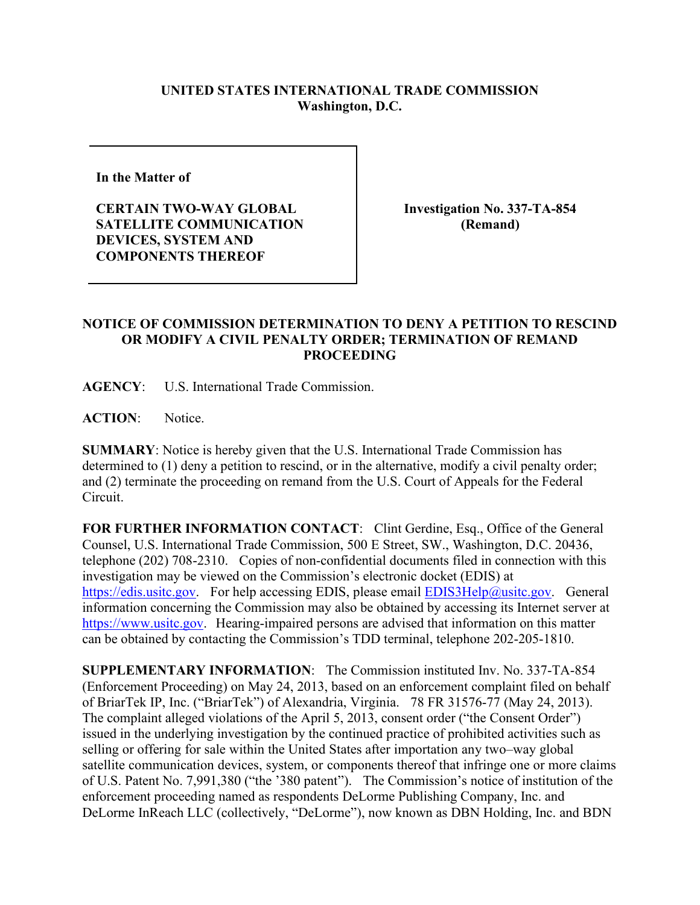## **UNITED STATES INTERNATIONAL TRADE COMMISSION Washington, D.C.**

**In the Matter of** 

**CERTAIN TWO-WAY GLOBAL SATELLITE COMMUNICATION DEVICES, SYSTEM AND COMPONENTS THEREOF**

**Investigation No. 337-TA-854 (Remand)**

## **NOTICE OF COMMISSION DETERMINATION TO DENY A PETITION TO RESCIND OR MODIFY A CIVIL PENALTY ORDER; TERMINATION OF REMAND PROCEEDING**

**AGENCY**: U.S. International Trade Commission.

**ACTION**: Notice.

**SUMMARY**: Notice is hereby given that the U.S. International Trade Commission has determined to (1) deny a petition to rescind, or in the alternative, modify a civil penalty order; and (2) terminate the proceeding on remand from the U.S. Court of Appeals for the Federal Circuit.

FOR FURTHER INFORMATION CONTACT: Clint Gerdine, Esq., Office of the General Counsel, U.S. International Trade Commission, 500 E Street, SW., Washington, D.C. 20436, telephone (202) 708-2310. Copies of non-confidential documents filed in connection with this investigation may be viewed on the Commission's electronic docket (EDIS) at [https://edis.usitc.gov.](https://edis.usitc.gov/) For help accessing EDIS, please email  $EDIS3Help@usite.gov$ . General information concerning the Commission may also be obtained by accessing its Internet server at [https://www.usitc.gov.](https://www.usitc.gov/) Hearing-impaired persons are advised that information on this matter can be obtained by contacting the Commission's TDD terminal, telephone 202-205-1810.

**SUPPLEMENTARY INFORMATION**: The Commission instituted Inv. No. 337-TA-854 (Enforcement Proceeding) on May 24, 2013, based on an enforcement complaint filed on behalf of BriarTek IP, Inc. ("BriarTek") of Alexandria, Virginia. 78 FR 31576-77 (May 24, 2013). The complaint alleged violations of the April 5, 2013, consent order ("the Consent Order") issued in the underlying investigation by the continued practice of prohibited activities such as selling or offering for sale within the United States after importation any two–way global satellite communication devices, system, or components thereof that infringe one or more claims of U.S. Patent No. 7,991,380 ("the '380 patent"). The Commission's notice of institution of the enforcement proceeding named as respondents DeLorme Publishing Company, Inc. and DeLorme InReach LLC (collectively, "DeLorme"), now known as DBN Holding, Inc. and BDN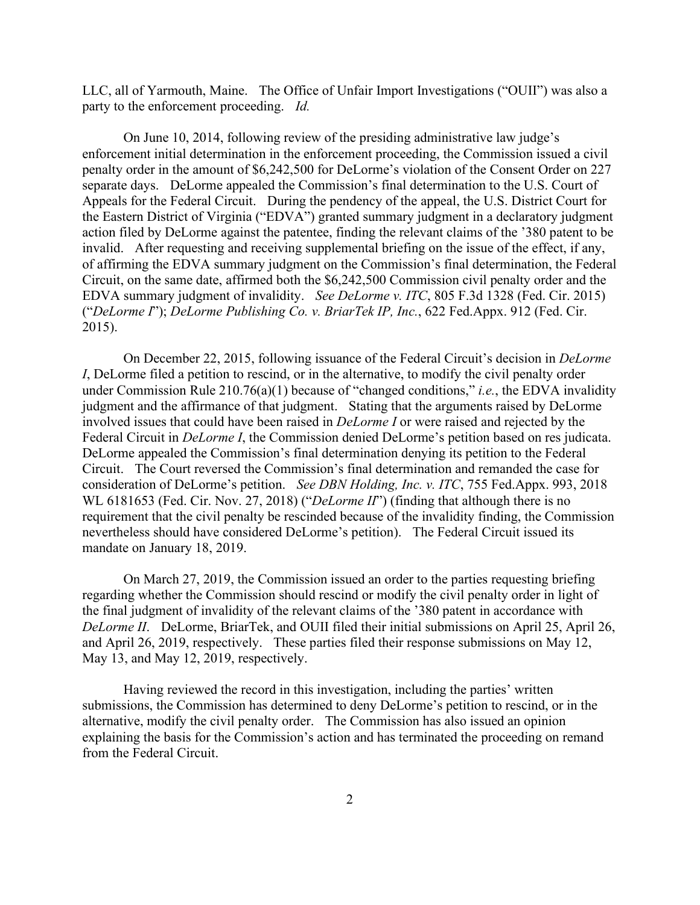LLC, all of Yarmouth, Maine. The Office of Unfair Import Investigations ("OUII") was also a party to the enforcement proceeding. *Id.* 

On June 10, 2014, following review of the presiding administrative law judge's enforcement initial determination in the enforcement proceeding, the Commission issued a civil penalty order in the amount of \$6,242,500 for DeLorme's violation of the Consent Order on 227 separate days. DeLorme appealed the Commission's final determination to the U.S. Court of Appeals for the Federal Circuit. During the pendency of the appeal, the U.S. District Court for the Eastern District of Virginia ("EDVA") granted summary judgment in a declaratory judgment action filed by DeLorme against the patentee, finding the relevant claims of the '380 patent to be invalid. After requesting and receiving supplemental briefing on the issue of the effect, if any, of affirming the EDVA summary judgment on the Commission's final determination, the Federal Circuit, on the same date, affirmed both the \$6,242,500 Commission civil penalty order and the EDVA summary judgment of invalidity. *See DeLorme v. ITC*, 805 F.3d 1328 (Fed. Cir. 2015) ("*DeLorme I*"); *DeLorme Publishing Co. v. BriarTek IP, Inc.*, 622 Fed.Appx. 912 (Fed. Cir. 2015).

On December 22, 2015, following issuance of the Federal Circuit's decision in *DeLorme I*, DeLorme filed a petition to rescind, or in the alternative, to modify the civil penalty order under Commission Rule 210.76(a)(1) because of "changed conditions," *i.e.*, the EDVA invalidity judgment and the affirmance of that judgment. Stating that the arguments raised by DeLorme involved issues that could have been raised in *DeLorme I* or were raised and rejected by the Federal Circuit in *DeLorme I*, the Commission denied DeLorme's petition based on res judicata. DeLorme appealed the Commission's final determination denying its petition to the Federal Circuit. The Court reversed the Commission's final determination and remanded the case for consideration of DeLorme's petition. *See DBN Holding, Inc. v. ITC*, 755 Fed.Appx. 993, 2018 WL 6181653 (Fed. Cir. Nov. 27, 2018) ("*DeLorme II*") (finding that although there is no requirement that the civil penalty be rescinded because of the invalidity finding, the Commission nevertheless should have considered DeLorme's petition). The Federal Circuit issued its mandate on January 18, 2019.

On March 27, 2019, the Commission issued an order to the parties requesting briefing regarding whether the Commission should rescind or modify the civil penalty order in light of the final judgment of invalidity of the relevant claims of the '380 patent in accordance with *DeLorme II*. DeLorme, BriarTek, and OUII filed their initial submissions on April 25, April 26, and April 26, 2019, respectively. These parties filed their response submissions on May 12, May 13, and May 12, 2019, respectively.

Having reviewed the record in this investigation, including the parties' written submissions, the Commission has determined to deny DeLorme's petition to rescind, or in the alternative, modify the civil penalty order. The Commission has also issued an opinion explaining the basis for the Commission's action and has terminated the proceeding on remand from the Federal Circuit.